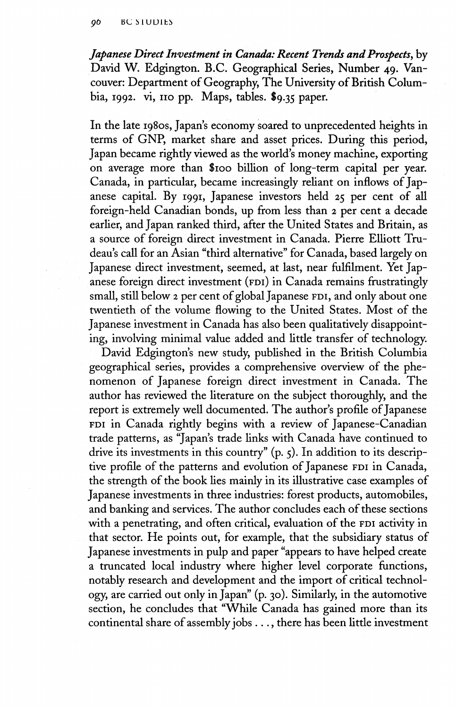*Japanese Direct Investment in Canada: Recent Trends and Prospects,* by David W. Edgington. B.C. Geographical Series, Number 49. Vancouver: Department of Geography, The University of British Columbia, 1992. vi, 110 pp. Maps, tables. \$9.35 paper.

In the late 1980s, Japan's economy soared to unprecedented heights in terms of GNP, market share and asset prices. During this period, Japan became rightly viewed as the world's money machine, exporting on average more than \$100 billion of long-term capital per year. Canada, in particular, became increasingly reliant on inflows of Japanese capital. By 1991, Japanese investors held 25 per cent of all foreign-held Canadian bonds, up from less than 2 per cent a decade earlier, and Japan ranked third, after the United States and Britain, as a source of foreign direct investment in Canada. Pierre Elliott Trudeau's call for an Asian "third alternative" for Canada, based largely on Japanese direct investment, seemed, at last, near fulfilment. Yet Japanese foreign direct investment (FDI) in Canada remains frustratingly small, still below 2 per cent of global Japanese FDI, and only about one twentieth of the volume flowing to the United States. Most of the Japanese investment in Canada has also been qualitatively disappointing, involving minimal value added and little transfer of technology.

David Edgington's new study, published in the British Columbia geographical series, provides a comprehensive overview of the phenomenon of Japanese foreign direct investment in Canada. The author has reviewed the literature on the subject thoroughly, and the report is extremely well documented. The author's profile of Japanese FDI in Canada rightly begins with a review of Japanese-Canadian trade patterns, as "Japan's trade links with Canada have continued to drive its investments in this country" (p. 5). In addition to its descriptive profile of the patterns and evolution of Japanese FDI in Canada, the strength of the book lies mainly in its illustrative case examples of Japanese investments in three industries: forest products, automobiles, and banking and services. The author concludes each of these sections with a penetrating, and often critical, evaluation of the FDI activity in that sector. He points out, for example, that the subsidiary status of Japanese investments in pulp and paper "appears to have helped create a truncated local industry where higher level corporate functions, notably research and development and the import of critical technology, are carried out only in Japan" (p. 30). Similarly, in the automotive section, he concludes that "While Canada has gained more than its continental share of assembly jobs .. ., there has been little investment